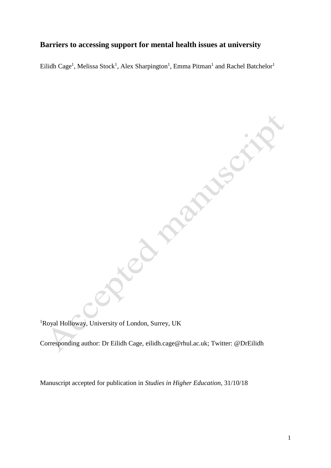# **Barriers to accessing support for mental health issues at university**

Eilidh Cage<sup>1</sup>, Melissa Stock<sup>1</sup>, Alex Sharpington<sup>1</sup>, Emma Pitman<sup>1</sup> and Rachel Batchelor<sup>1</sup>

222-55C

**DIPTERMENTAL** 

<sup>1</sup>Royal Holloway, University of London, Surrey, UK

Corresponding author: Dr Eilidh Cage, [eilidh.cage@rhul.ac.uk;](mailto:eilidh.cage@rhul.ac.uk) Twitter: @DrEilidh

Manuscript accepted for publication in *Studies in Higher Education*, 31/10/18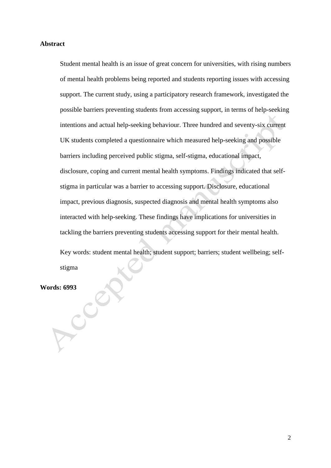#### **Abstract**

Student mental health is an issue of great concern for universities, with rising numbers of mental health problems being reported and students reporting issues with accessing support. The current study, using a participatory research framework, investigated the possible barriers preventing students from accessing support, in terms of help-seeking intentions and actual help-seeking behaviour. Three hundred and seventy-six current UK students completed a questionnaire which measured help-seeking and possible barriers including perceived public stigma, self-stigma, educational impact, disclosure, coping and current mental health symptoms. Findings indicated that selfstigma in particular was a barrier to accessing support. Disclosure, educational impact, previous diagnosis, suspected diagnosis and mental health symptoms also interacted with help-seeking. These findings have implications for universities in tackling the barriers preventing students accessing support for their mental health. Key words: student mental health; student support; barriers; student wellbeing; selfstigma

Words: 6993<br> **Property**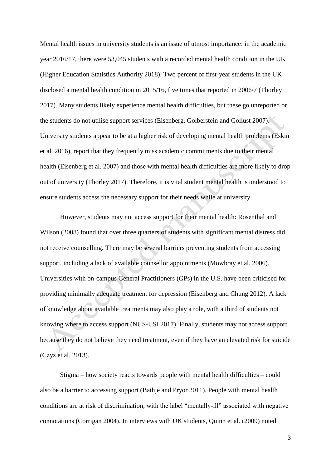Mental health issues in university students is an issue of utmost importance: in the academic year 2016/17, there were 53,045 students with a recorded mental health condition in the UK (Higher Education Statistics Authority 2018). Two percent of first-year students in the UK disclosed a mental health condition in 2015/16, five times that reported in 2006/7 (Thorley 2017). Many students likely experience mental health difficulties, but these go unreported or the students do not utilise support services (Eisenberg, Golberstein and Gollust 2007). University students appear to be at a higher risk of developing mental health problems (Eskin et al. 2016), report that they frequently miss academic commitments due to their mental health (Eisenberg et al. 2007) and those with mental health difficulties are more likely to drop out of university (Thorley 2017). Therefore, it is vital student mental health is understood to ensure students access the necessary support for their needs while at university.

However, students may not access support for their mental health: Rosenthal and Wilson (2008) found that over three quarters of students with significant mental distress did not receive counselling. There may be several barriers preventing students from accessing support, including a lack of available counsellor appointments (Mowbray et al. 2006). Universities with on-campus General Practitioners (GPs) in the U.S. have been criticised for providing minimally adequate treatment for depression (Eisenberg and Chung 2012). A lack of knowledge about available treatments may also play a role, with a third of students not knowing where to access support (NUS-USI 2017). Finally, students may not access support because they do not believe they need treatment, even if they have an elevated risk for suicide (Czyz et al. 2013).

Stigma – how society reacts towards people with mental health difficulties – could also be a barrier to accessing support (Bathje and Pryor 2011). People with mental health conditions are at risk of discrimination, with the label "mentally-ill" associated with negative connotations (Corrigan 2004). In interviews with UK students, Quinn et al. (2009) noted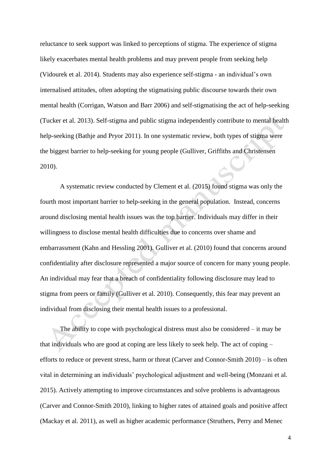reluctance to seek support was linked to perceptions of stigma. The experience of stigma likely exacerbates mental health problems and may prevent people from seeking help (Vidourek et al. 2014). Students may also experience self-stigma - an individual's own internalised attitudes, often adopting the stigmatising public discourse towards their own mental health (Corrigan, Watson and Barr 2006) and self-stigmatising the act of help-seeking (Tucker et al. 2013). Self-stigma and public stigma independently contribute to mental health help-seeking (Bathje and Pryor 2011). In one systematic review, both types of stigma were the biggest barrier to help-seeking for young people (Gulliver, Griffiths and Christensen 2010).

A systematic review conducted by Clement et al. (2015) found stigma was only the fourth most important barrier to help-seeking in the general population. Instead, concerns around disclosing mental health issues was the top barrier. Individuals may differ in their willingness to disclose mental health difficulties due to concerns over shame and embarrassment (Kahn and Hessling 2001). Gulliver et al. (2010) found that concerns around confidentiality after disclosure represented a major source of concern for many young people. An individual may fear that a breach of confidentiality following disclosure may lead to stigma from peers or family (Gulliver et al. 2010). Consequently, this fear may prevent an individual from disclosing their mental health issues to a professional.

The ability to cope with psychological distress must also be considered – it may be that individuals who are good at coping are less likely to seek help. The act of coping – efforts to reduce or prevent stress, harm or threat (Carver and Connor-Smith 2010) – is often vital in determining an individuals' psychological adjustment and well-being (Monzani et al. 2015). Actively attempting to improve circumstances and solve problems is advantageous (Carver and Connor-Smith 2010), linking to higher rates of attained goals and positive affect (Mackay et al. 2011), as well as higher academic performance (Struthers, Perry and Menec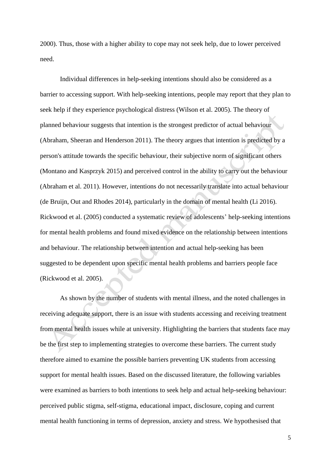2000). Thus, those with a higher ability to cope may not seek help, due to lower perceived need.

Individual differences in help-seeking intentions should also be considered as a barrier to accessing support. With help-seeking intentions, people may report that they plan to seek help if they experience psychological distress (Wilson et al. 2005). The theory of planned behaviour suggests that intention is the strongest predictor of actual behaviour (Abraham, Sheeran and Henderson 2011). The theory argues that intention is predicted by a person's attitude towards the specific behaviour, their subjective norm of significant others (Montano and Kasprzyk 2015) and perceived control in the ability to carry out the behaviour (Abraham et al. 2011). However, intentions do not necessarily translate into actual behaviour (de Bruijn, Out and Rhodes 2014), particularly in the domain of mental health (Li 2016). Rickwood et al. (2005) conducted a systematic review of adolescents' help-seeking intentions for mental health problems and found mixed evidence on the relationship between intentions and behaviour. The relationship between intention and actual help-seeking has been suggested to be dependent upon specific mental health problems and barriers people face (Rickwood et al. 2005).

As shown by the number of students with mental illness, and the noted challenges in receiving adequate support, there is an issue with students accessing and receiving treatment from mental health issues while at university. Highlighting the barriers that students face may be the first step to implementing strategies to overcome these barriers. The current study therefore aimed to examine the possible barriers preventing UK students from accessing support for mental health issues. Based on the discussed literature, the following variables were examined as barriers to both intentions to seek help and actual help-seeking behaviour: perceived public stigma, self-stigma, educational impact, disclosure, coping and current mental health functioning in terms of depression, anxiety and stress. We hypothesised that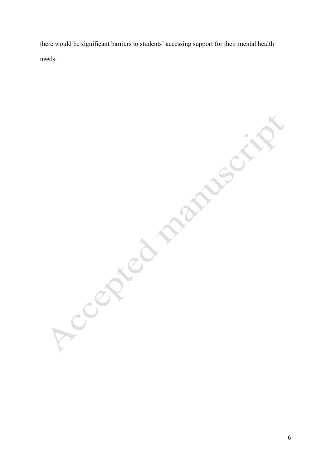there would be significant barriers to students' accessing support for their mental health Needstramscritt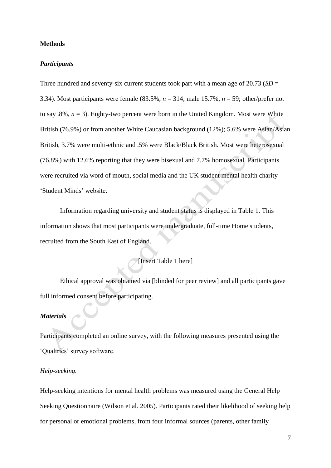#### **Methods**

#### *Participants*

Three hundred and seventy-six current students took part with a mean age of 20.73 (*SD* = 3.34). Most participants were female (83.5%, *n* = 314; male 15.7%, *n* = 59; other/prefer not to say .8%,  $n = 3$ ). Eighty-two percent were born in the United Kingdom. Most were White British (76.9%) or from another White Caucasian background (12%); 5.6% were Asian/Asian British, 3.7% were multi-ethnic and .5% were Black/Black British. Most were heterosexual (76.8%) with 12.6% reporting that they were bisexual and 7.7% homosexual. Participants were recruited via word of mouth, social media and the UK student mental health charity 'Student Minds' website.

Information regarding university and student status is displayed in Table 1. This information shows that most participants were undergraduate, full-time Home students, recruited from the South East of England.

## [Insert Table 1 here]

Ethical approval was obtained via [blinded for peer review] and all participants gave full informed consent before participating.

## *Materials*

Participants completed an online survey, with the following measures presented using the 'Qualtrics' survey software.

### *Help-seeking.*

Help-seeking intentions for mental health problems was measured using the General Help Seeking Questionnaire (Wilson et al. 2005). Participants rated their likelihood of seeking help for personal or emotional problems, from four informal sources (parents, other family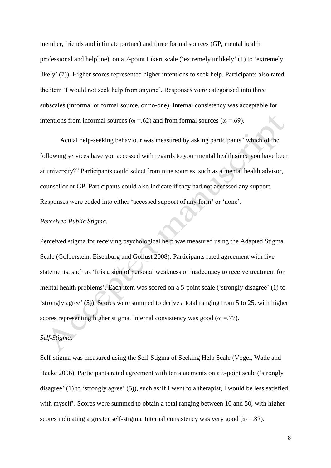member, friends and intimate partner) and three formal sources (GP, mental health professional and helpline), on a 7-point Likert scale ('extremely unlikely' (1) to 'extremely likely' (7)). Higher scores represented higher intentions to seek help. Participants also rated the item 'I would not seek help from anyone'. Responses were categorised into three subscales (informal or formal source, or no-one). Internal consistency was acceptable for intentions from informal sources ( $\omega$  =.62) and from formal sources ( $\omega$  =.69).

Actual help-seeking behaviour was measured by asking participants "which of the following services have you accessed with regards to your mental health since you have been at university?" Participants could select from nine sources, such as a mental health advisor, counsellor or GP. Participants could also indicate if they had not accessed any support. Responses were coded into either 'accessed support of any form' or 'none'.

#### *Perceived Public Stigma.*

Perceived stigma for receiving psychological help was measured using the Adapted Stigma Scale (Golberstein, Eisenburg and Gollust 2008). Participants rated agreement with five statements, such as 'It is a sign of personal weakness or inadequacy to receive treatment for mental health problems'. Each item was scored on a 5-point scale ('strongly disagree' (1) to 'strongly agree' (5)). Scores were summed to derive a total ranging from 5 to 25, with higher scores representing higher stigma. Internal consistency was good ( $\omega = 77$ ).

## *Self-Stigma.*

Self-stigma was measured using the Self-Stigma of Seeking Help Scale (Vogel, Wade and Haake 2006). Participants rated agreement with ten statements on a 5-point scale ('strongly disagree' (1) to 'strongly agree' (5)), such as'If I went to a therapist, I would be less satisfied with myself'. Scores were summed to obtain a total ranging between 10 and 50, with higher scores indicating a greater self-stigma. Internal consistency was very good ( $\omega = .87$ ).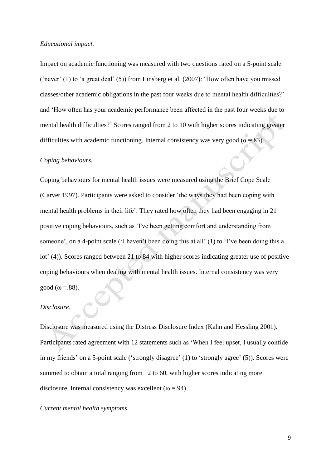#### *Educational impact.*

Impact on academic functioning was measured with two questions rated on a 5-point scale ('never' (1) to 'a great deal' (5)) from Einsberg et al. (2007): 'How often have you missed classes/other academic obligations in the past four weeks due to mental health difficulties?' and 'How often has your academic performance been affected in the past four weeks due to mental health difficulties?' Scores ranged from 2 to 10 with higher scores indicating greater difficulties with academic functioning. Internal consistency was very good ( $\alpha = 83$ ).

### *Coping behaviours.*

Coping behaviours for mental health issues were measured using the Brief Cope Scale (Carver 1997). Participants were asked to consider 'the ways they had been coping with mental health problems in their life'. They rated how often they had been engaging in 21 positive coping behaviours, such as 'I've been getting comfort and understanding from someone', on a 4-point scale ('I haven't been doing this at all' (1) to 'I've been doing this a lot' (4)). Scores ranged between 21 to 84 with higher scores indicating greater use of positive coping behaviours when dealing with mental health issues. Internal consistency was very good ( $\omega$  =.88).

## *Disclosure.*

Disclosure was measured using the Distress Disclosure Index (Kahn and Hessling 2001). Participants rated agreement with 12 statements such as 'When I feel upset, I usually confide in my friends' on a 5-point scale ('strongly disagree' (1) to 'strongly agree' (5)). Scores were summed to obtain a total ranging from 12 to 60, with higher scores indicating more disclosure. Internal consistency was excellent ( $\omega$  =.94).

## *Current mental health symptoms.*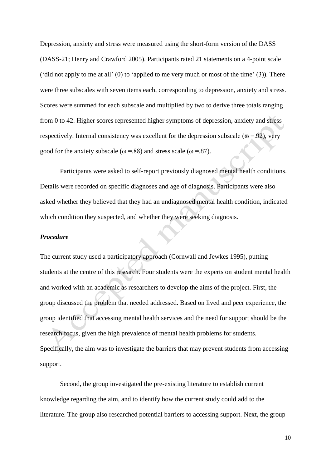Depression, anxiety and stress were measured using the short-form version of the DASS (DASS-21; Henry and Crawford 2005). Participants rated 21 statements on a 4-point scale ('did not apply to me at all'  $(0)$  to 'applied to me very much or most of the time'  $(3)$ ). There were three subscales with seven items each, corresponding to depression, anxiety and stress. Scores were summed for each subscale and multiplied by two to derive three totals ranging from 0 to 42. Higher scores represented higher symptoms of depression, anxiety and stress respectively. Internal consistency was excellent for the depression subscale ( $\omega$  =.92), very good for the anxiety subscale ( $\omega$  =.88) and stress scale ( $\omega$  =.87).

Participants were asked to self-report previously diagnosed mental health conditions. Details were recorded on specific diagnoses and age of diagnosis. Participants were also asked whether they believed that they had an undiagnosed mental health condition, indicated which condition they suspected, and whether they were seeking diagnosis.

### *Procedure*

The current study used a participatory approach (Cornwall and Jewkes 1995), putting students at the centre of this research. Four students were the experts on student mental health and worked with an academic as researchers to develop the aims of the project. First, the group discussed the problem that needed addressed. Based on lived and peer experience, the group identified that accessing mental health services and the need for support should be the research focus, given the high prevalence of mental health problems for students. Specifically, the aim was to investigate the barriers that may prevent students from accessing support.

Second, the group investigated the pre-existing literature to establish current knowledge regarding the aim, and to identify how the current study could add to the literature. The group also researched potential barriers to accessing support. Next, the group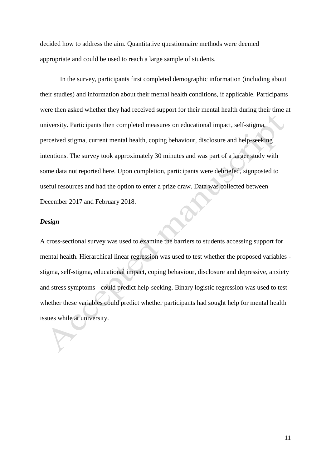decided how to address the aim. Quantitative questionnaire methods were deemed appropriate and could be used to reach a large sample of students.

In the survey, participants first completed demographic information (including about their studies) and information about their mental health conditions, if applicable. Participants were then asked whether they had received support for their mental health during their time at university. Participants then completed measures on educational impact, self-stigma, perceived stigma, current mental health, coping behaviour, disclosure and help-seeking intentions. The survey took approximately 30 minutes and was part of a larger study with some data not reported here. Upon completion, participants were debriefed, signposted to useful resources and had the option to enter a prize draw. Data was collected between December 2017 and February 2018.

#### *Design*

A cross-sectional survey was used to examine the barriers to students accessing support for mental health. Hierarchical linear regression was used to test whether the proposed variables stigma, self-stigma, educational impact, coping behaviour, disclosure and depressive, anxiety and stress symptoms - could predict help-seeking. Binary logistic regression was used to test whether these variables could predict whether participants had sought help for mental health issues while at university.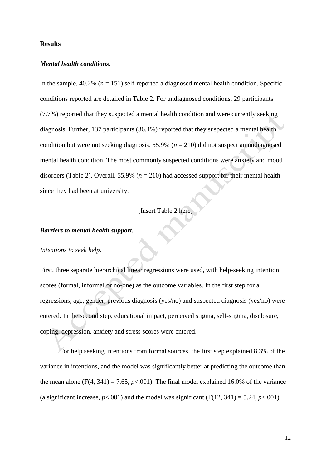#### **Results**

## *Mental health conditions.*

In the sample,  $40.2\%$  ( $n = 151$ ) self-reported a diagnosed mental health condition. Specific conditions reported are detailed in Table 2. For undiagnosed conditions, 29 participants (7.7%) reported that they suspected a mental health condition and were currently seeking diagnosis. Further, 137 participants (36.4%) reported that they suspected a mental health condition but were not seeking diagnosis. 55.9% ( $n = 210$ ) did not suspect an undiagnosed mental health condition. The most commonly suspected conditions were anxiety and mood disorders (Table 2). Overall, 55.9% (*n* = 210) had accessed support for their mental health since they had been at university.

## [Insert Table 2 here]

## *Barriers to mental health support.*

#### *Intentions to seek help.*

First, three separate hierarchical linear regressions were used, with help-seeking intention scores (formal, informal or no-one) as the outcome variables. In the first step for all regressions, age, gender, previous diagnosis (yes/no) and suspected diagnosis (yes/no) were entered. In the second step, educational impact, perceived stigma, self-stigma, disclosure, coping, depression, anxiety and stress scores were entered.

For help seeking intentions from formal sources, the first step explained 8.3% of the variance in intentions, and the model was significantly better at predicting the outcome than the mean alone  $(F(4, 341) = 7.65, p < .001)$ . The final model explained 16.0% of the variance (a significant increase,  $p < .001$ ) and the model was significant (F(12, 341) = 5.24,  $p < .001$ ).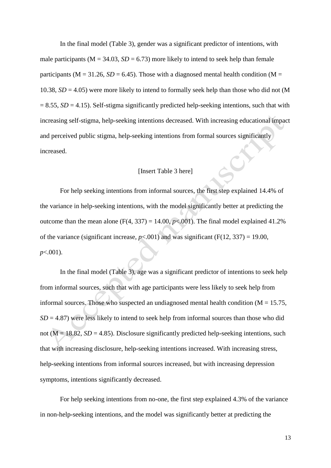In the final model (Table 3), gender was a significant predictor of intentions, with male participants ( $M = 34.03$ ,  $SD = 6.73$ ) more likely to intend to seek help than female participants ( $M = 31.26$ ,  $SD = 6.45$ ). Those with a diagnosed mental health condition ( $M =$ 10.38,  $SD = 4.05$ ) were more likely to intend to formally seek help than those who did not (M  $= 8.55$ , *SD* = 4.15). Self-stigma significantly predicted help-seeking intentions, such that with increasing self-stigma, help-seeking intentions decreased. With increasing educational impact and perceived public stigma, help-seeking intentions from formal sources significantly increased.

## [Insert Table 3 here]

For help seeking intentions from informal sources, the first step explained 14.4% of the variance in help-seeking intentions, with the model significantly better at predicting the outcome than the mean alone  $(F(4, 337) = 14.00, p<.001)$ . The final model explained 41.2% of the variance (significant increase,  $p<0.001$ ) and was significant (F(12, 337) = 19.00, *p*<.001).

In the final model (Table 3), age was a significant predictor of intentions to seek help from informal sources, such that with age participants were less likely to seek help from informal sources. Those who suspected an undiagnosed mental health condition ( $M = 15.75$ ,  $SD = 4.87$ ) were less likely to intend to seek help from informal sources than those who did not ( $M = 18.82$ ,  $SD = 4.85$ ). Disclosure significantly predicted help-seeking intentions, such that with increasing disclosure, help-seeking intentions increased. With increasing stress, help-seeking intentions from informal sources increased, but with increasing depression symptoms, intentions significantly decreased.

For help seeking intentions from no-one, the first step explained 4.3% of the variance in non-help-seeking intentions, and the model was significantly better at predicting the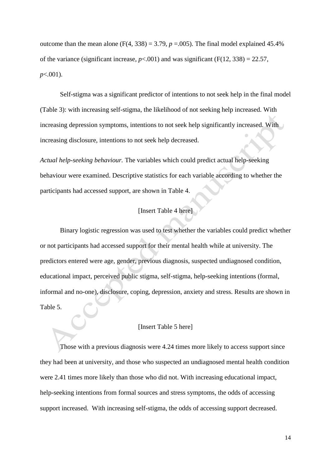outcome than the mean alone (F(4, 338) = 3.79,  $p = .005$ ). The final model explained 45.4% of the variance (significant increase,  $p < .001$ ) and was significant (F(12, 338) = 22.57, *p*<.001).

Self-stigma was a significant predictor of intentions to not seek help in the final model (Table 3): with increasing self-stigma, the likelihood of not seeking help increased. With increasing depression symptoms, intentions to not seek help significantly increased. With increasing disclosure, intentions to not seek help decreased.

*Actual help-seeking behaviour.* The variables which could predict actual help-seeking behaviour were examined. Descriptive statistics for each variable according to whether the participants had accessed support, are shown in Table 4.

## [Insert Table 4 here]

Binary logistic regression was used to test whether the variables could predict whether or not participants had accessed support for their mental health while at university. The predictors entered were age, gender, previous diagnosis, suspected undiagnosed condition, educational impact, perceived public stigma, self-stigma, help-seeking intentions (formal, informal and no-one), disclosure, coping, depression, anxiety and stress. Results are shown in Table 5.

## [Insert Table 5 here]

Those with a previous diagnosis were 4.24 times more likely to access support since they had been at university, and those who suspected an undiagnosed mental health condition were 2.41 times more likely than those who did not. With increasing educational impact, help-seeking intentions from formal sources and stress symptoms, the odds of accessing support increased. With increasing self-stigma, the odds of accessing support decreased.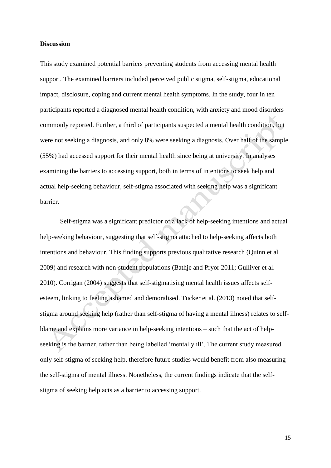#### **Discussion**

This study examined potential barriers preventing students from accessing mental health support. The examined barriers included perceived public stigma, self-stigma, educational impact, disclosure, coping and current mental health symptoms. In the study, four in ten participants reported a diagnosed mental health condition, with anxiety and mood disorders commonly reported. Further, a third of participants suspected a mental health condition, but were not seeking a diagnosis, and only 8% were seeking a diagnosis. Over half of the sample (55%) had accessed support for their mental health since being at university. In analyses examining the barriers to accessing support, both in terms of intentions to seek help and actual help-seeking behaviour, self-stigma associated with seeking help was a significant barrier.

Self-stigma was a significant predictor of a lack of help-seeking intentions and actual help-seeking behaviour, suggesting that self-stigma attached to help-seeking affects both intentions and behaviour. This finding supports previous qualitative research (Quinn et al. 2009) and research with non-student populations (Bathje and Pryor 2011; Gulliver et al. 2010). Corrigan (2004) suggests that self-stigmatising mental health issues affects selfesteem, linking to feeling ashamed and demoralised. Tucker et al. (2013) noted that selfstigma around seeking help (rather than self-stigma of having a mental illness) relates to selfblame and explains more variance in help-seeking intentions – such that the act of helpseeking is the barrier, rather than being labelled 'mentally ill'. The current study measured only self-stigma of seeking help, therefore future studies would benefit from also measuring the self-stigma of mental illness. Nonetheless, the current findings indicate that the selfstigma of seeking help acts as a barrier to accessing support.

15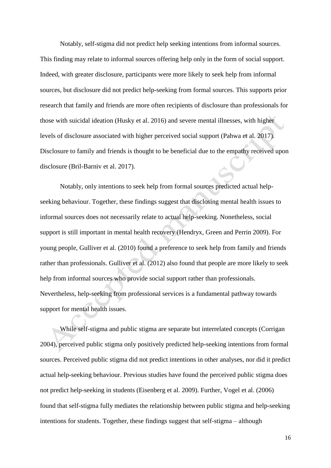Notably, self-stigma did not predict help seeking intentions from informal sources. This finding may relate to informal sources offering help only in the form of social support. Indeed, with greater disclosure, participants were more likely to seek help from informal sources, but disclosure did not predict help-seeking from formal sources. This supports prior research that family and friends are more often recipients of disclosure than professionals for those with suicidal ideation (Husky et al. 2016) and severe mental illnesses, with higher levels of disclosure associated with higher perceived social support (Pahwa et al. 2017). Disclosure to family and friends is thought to be beneficial due to the empathy received upon disclosure (Bril-Barniv et al. 2017).

Notably, only intentions to seek help from formal sources predicted actual helpseeking behaviour. Together, these findings suggest that disclosing mental health issues to informal sources does not necessarily relate to actual help-seeking. Nonetheless, social support is still important in mental health recovery [\(Hendryx,](https://www.ncbi.nlm.nih.gov/pubmed/?term=Hendryx%20M%5BAuthor%5D&cauthor=true&cauthor_uid=19011972) [Green](https://www.ncbi.nlm.nih.gov/pubmed/?term=Green%20CA%5BAuthor%5D&cauthor=true&cauthor_uid=19011972) and [Perrin](https://www.ncbi.nlm.nih.gov/pubmed/?term=Perrin%20NA%5BAuthor%5D&cauthor=true&cauthor_uid=19011972) 2009). For young people, Gulliver et al. (2010) found a preference to seek help from family and friends rather than professionals. Gulliver et al. (2012) also found that people are more likely to seek help from informal sources who provide social support rather than professionals. Nevertheless, help-seeking from professional services is a fundamental pathway towards support for mental health issues.

While self-stigma and public stigma are separate but interrelated concepts (Corrigan 2004), perceived public stigma only positively predicted help-seeking intentions from formal sources. Perceived public stigma did not predict intentions in other analyses, nor did it predict actual help-seeking behaviour. Previous studies have found the perceived public stigma does not predict help-seeking in students (Eisenberg et al. 2009). Further, Vogel et al. (2006) found that self-stigma fully mediates the relationship between public stigma and help-seeking intentions for students. Together, these findings suggest that self-stigma – although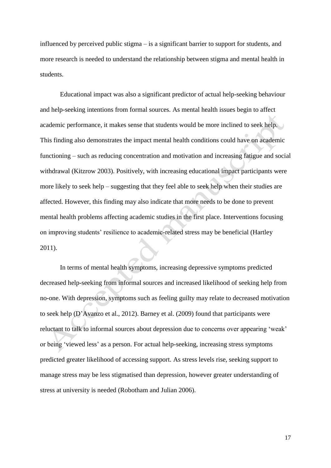influenced by perceived public stigma – is a significant barrier to support for students, and more research is needed to understand the relationship between stigma and mental health in students.

Educational impact was also a significant predictor of actual help-seeking behaviour and help-seeking intentions from formal sources. As mental health issues begin to affect academic performance, it makes sense that students would be more inclined to seek help. This finding also demonstrates the impact mental health conditions could have on academic functioning – such as reducing concentration and motivation and increasing fatigue and social withdrawal (Kitzrow 2003). Positively, with increasing educational impact participants were more likely to seek help – suggesting that they feel able to seek help when their studies are affected. However, this finding may also indicate that more needs to be done to prevent mental health problems affecting academic studies in the first place. Interventions focusing on improving students' resilience to academic-related stress may be beneficial (Hartley 2011).

In terms of mental health symptoms, increasing depressive symptoms predicted decreased help-seeking from informal sources and increased likelihood of seeking help from no-one. With depression, symptoms such as feeling guilty may relate to decreased motivation to seek help (D'Avanzo et al., 2012). Barney et al. (2009) found that participants were reluctant to talk to informal sources about depression due to concerns over appearing 'weak' or being 'viewed less' as a person. For actual help-seeking, increasing stress symptoms predicted greater likelihood of accessing support. As stress levels rise, seeking support to manage stress may be less stigmatised than depression, however greater understanding of stress at university is needed (Robotham and Julian 2006).

17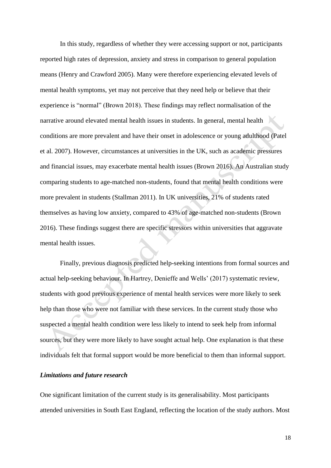In this study, regardless of whether they were accessing support or not, participants reported high rates of depression, anxiety and stress in comparison to general population means (Henry and Crawford 2005). Many were therefore experiencing elevated levels of mental health symptoms, yet may not perceive that they need help or believe that their experience is "normal" (Brown 2018). These findings may reflect normalisation of the narrative around elevated mental health issues in students. In general, mental health conditions are more prevalent and have their onset in adolescence or young adulthood (Patel et al. 2007). However, circumstances at universities in the UK, such as academic pressures and financial issues, may exacerbate mental health issues (Brown 2016). An Australian study comparing students to age-matched non-students, found that mental health conditions were more prevalent in students (Stallman 2011). In UK universities, 21% of students rated themselves as having low anxiety, compared to 43% of age-matched non-students (Brown 2016). These findings suggest there are specific stressors within universities that aggravate mental health issues.

Finally, previous diagnosis predicted help-seeking intentions from formal sources and actual help-seeking behaviour. In Hartrey, Denieffe and Wells' (2017) systematic review, students with good previous experience of mental health services were more likely to seek help than those who were not familiar with these services. In the current study those who suspected a mental health condition were less likely to intend to seek help from informal sources, but they were more likely to have sought actual help. One explanation is that these individuals felt that formal support would be more beneficial to them than informal support.

## *Limitations and future research*

One significant limitation of the current study is its generalisability. Most participants attended universities in South East England, reflecting the location of the study authors. Most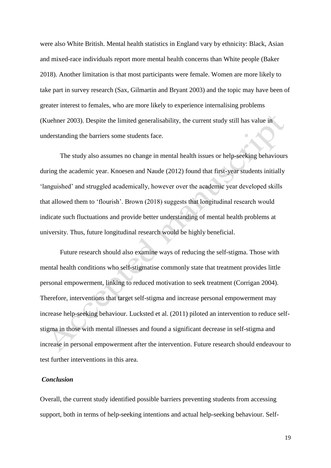were also White British. Mental health statistics in England vary by ethnicity: Black, Asian and mixed-race individuals report more mental health concerns than White people (Baker 2018). Another limitation is that most participants were female. Women are more likely to take part in survey research (Sax, Gilmartin and Bryant 2003) and the topic may have been of greater interest to females, who are more likely to experience internalising problems (Kuehner 2003). Despite the limited generalisability, the current study still has value in understanding the barriers some students face.

The study also assumes no change in mental health issues or help-seeking behaviours during the academic year. Knoesen and Naude (2012) found that first-year students initially 'languished' and struggled academically, however over the academic year developed skills that allowed them to 'flourish'. Brown (2018) suggests that longitudinal research would indicate such fluctuations and provide better understanding of mental health problems at university. Thus, future longitudinal research would be highly beneficial.

Future research should also examine ways of reducing the self-stigma. Those with mental health conditions who self-stigmatise commonly state that treatment provides little personal empowerment, linking to reduced motivation to seek treatment (Corrigan 2004). Therefore, interventions that target self-stigma and increase personal empowerment may increase help-seeking behaviour. Lucksted et al. (2011) piloted an intervention to reduce selfstigma in those with mental illnesses and found a significant decrease in self-stigma and increase in personal empowerment after the intervention. Future research should endeavour to test further interventions in this area.

### *Conclusion*

Overall, the current study identified possible barriers preventing students from accessing support, both in terms of help-seeking intentions and actual help-seeking behaviour. Self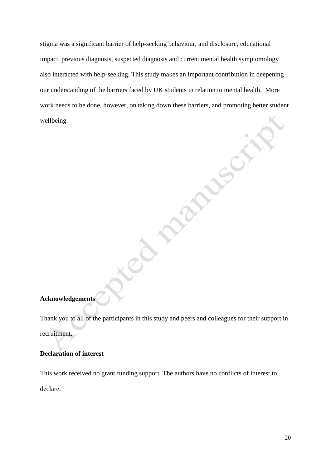stigma was a significant barrier of help-seeking behaviour, and disclosure, educational impact, previous diagnosis, suspected diagnosis and current mental health symptomology also interacted with help-seeking. This study makes an important contribution in deepening our understanding of the barriers faced by UK students in relation to mental health. More work needs to be done, however, on taking down these barriers, and promoting better student wellbeing.

Paperty of

Co maringerity

## **Acknowledgements**

Thank you to all of the participants in this study and peers and colleagues for their support in recruitment.

## **Declaration of interest**

This work received no grant funding support. The authors have no conflicts of interest to declare.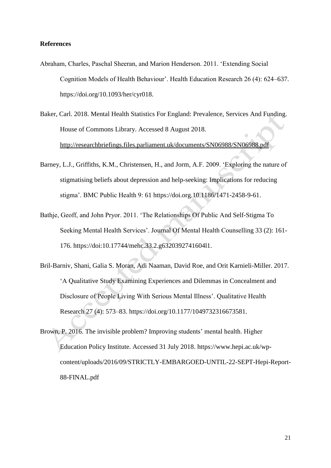### **References**

- Abraham, Charles, Paschal Sheeran, and Marion Henderson. 2011. 'Extending Social Cognition Models of Health Behaviour'. Health Education Research 26 (4): 624–637. https://doi.org/10.1093/her/cyr018.
- Baker, Carl. 2018. Mental Health Statistics For England: Prevalence, Services And Funding. House of Commons Library. Accessed 8 August 2018. http://researchbriefings.files.parliament.uk/documents/SN06988/SN06988.pdf
- Barney, L.J., Griffiths, K.M., Christensen, H., and Jorm, A.F. 2009. 'Exploring the nature of stigmatising beliefs about depression and help-seeking: Implications for reducing stigma'. BMC Public Health 9: 61 https://doi.org.10.1186/1471-2458-9-61.
- Bathje, Geoff, and John Pryor. 2011. 'The Relationships Of Public And Self-Stigma To Seeking Mental Health Services'. Journal Of Mental Health Counselling 33 (2): 161- 176. https://doi:10.17744/mehc.33.2.g6320392741604l1.
- Bril-Barniv, Shani, Galia S. Moran, Adi Naaman, David Roe, and Orit Karnieli-Miller. 2017. 'A Qualitative Study Examining Experiences and Dilemmas in Concealment and Disclosure of People Living With Serious Mental Illness'. Qualitative Health Research 27 (4): 573–83. https://doi.org/10.1177/1049732316673581.
- Brown, P. 2016. The invisible problem? Improving students' mental health. Higher Education Policy Institute. Accessed 31 July 2018. https://www.hepi.ac.uk/wpcontent/uploads/2016/09/STRICTLY-EMBARGOED-UNTIL-22-SEPT-Hepi-Report-88-FINAL.pdf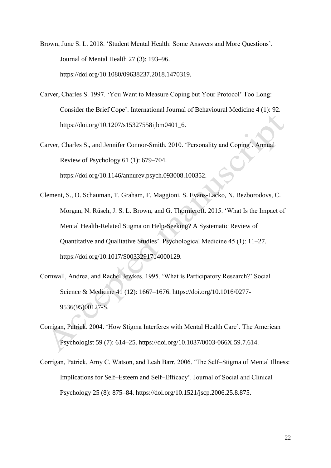Brown, June S. L. 2018. 'Student Mental Health: Some Answers and More Questions'. Journal of Mental Health 27 (3): 193–96. https://doi.org/10.1080/09638237.2018.1470319.

- Carver, Charles S. 1997. 'You Want to Measure Coping but Your Protocol' Too Long: Consider the Brief Cope'. International Journal of Behavioural Medicine 4 (1): 92. https://doi.org/10.1207/s15327558ijbm0401\_6.
- Carver, Charles S., and Jennifer Connor-Smith. 2010. 'Personality and Coping'. Annual Review of Psychology 61 (1): 679–704. https://doi.org/10.1146/annurev.psych.093008.100352.
- Clement, S., O. Schauman, T. Graham, F. Maggioni, S. Evans-Lacko, N. Bezborodovs, C. Morgan, N. Rüsch, J. S. L. Brown, and G. Thornicroft. 2015. 'What Is the Impact of Mental Health-Related Stigma on Help-Seeking? A Systematic Review of Quantitative and Qualitative Studies'. Psychological Medicine 45 (1): 11–27. https://doi.org/10.1017/S0033291714000129.
- Cornwall, Andrea, and Rachel Jewkes. 1995. 'What is Participatory Research?' Social Science & Medicine 41 (12): 1667–1676. https://doi.org/10.1016/0277- 9536(95)00127-S.
- Corrigan, Patrick. 2004. 'How Stigma Interferes with Mental Health Care'. The American Psychologist 59 (7): 614–25. https://doi.org/10.1037/0003-066X.59.7.614.
- Corrigan, Patrick, Amy C. Watson, and Leah Barr. 2006. 'The Self–Stigma of Mental Illness: Implications for Self–Esteem and Self–Efficacy'. Journal of Social and Clinical Psychology 25 (8): 875–84. https://doi.org/10.1521/jscp.2006.25.8.875.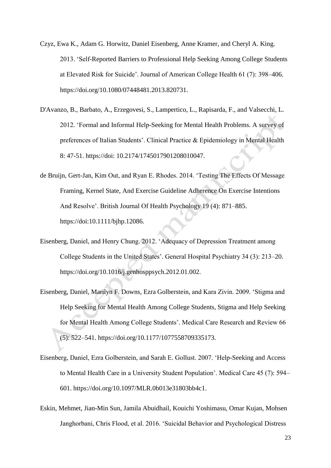Czyz, Ewa K., Adam G. Horwitz, Daniel Eisenberg, Anne Kramer, and Cheryl A. King. 2013. 'Self-Reported Barriers to Professional Help Seeking Among College Students at Elevated Risk for Suicide'. Journal of American College Health 61 (7): 398–406. https://doi.org/10.1080/07448481.2013.820731.

- D'Avanzo, B., Barbato, A., Erzegovesi, S., Lampertico, L., Rapisarda, F., and Valsecchi, L. 2012. 'Formal and Informal Help-Seeking for Mental Health Problems. A survey of preferences of Italian Students'. Clinical Practice & Epidemiology in Mental Health 8: 47-51. https://doi: 10.2174/1745017901208010047.
- de Bruijn, Gert-Jan, Kim Out, and Ryan E. Rhodes. 2014. 'Testing The Effects Of Message Framing, Kernel State, And Exercise Guideline Adherence On Exercise Intentions And Resolve'. British Journal Of Health Psychology 19 (4): 871–885. https://doi:10.1111/bjhp.12086.
- Eisenberg, Daniel, and Henry Chung. 2012. 'Adequacy of Depression Treatment among College Students in the United States'. General Hospital Psychiatry 34 (3): 213–20. https://doi.org/10.1016/j.genhosppsych.2012.01.002.
- Eisenberg, Daniel, Marilyn F. Downs, Ezra Golberstein, and Kara Zivin. 2009. 'Stigma and Help Seeking for Mental Health Among College Students, Stigma and Help Seeking for Mental Health Among College Students'. Medical Care Research and Review 66 (5): 522–541. https://doi.org/10.1177/1077558709335173.
- Eisenberg, Daniel, Ezra Golberstein, and Sarah E. Gollust. 2007. 'Help-Seeking and Access to Mental Health Care in a University Student Population'. Medical Care 45 (7): 594– 601. https://doi.org/10.1097/MLR.0b013e31803bb4c1.
- Eskin, Mehmet, Jian-Min Sun, Jamila Abuidhail, Kouichi Yoshimasu, Omar Kujan, Mohsen Janghorbani, Chris Flood, et al. 2016. 'Suicidal Behavior and Psychological Distress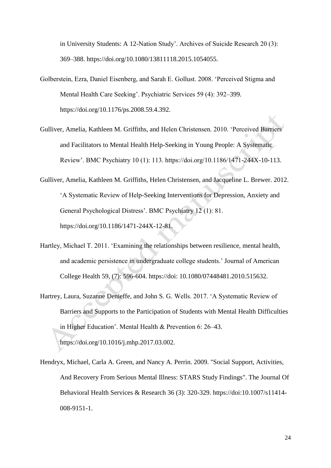in University Students: A 12-Nation Study'. Archives of Suicide Research 20 (3): 369–388. https://doi.org/10.1080/13811118.2015.1054055.

- Golberstein, Ezra, Daniel Eisenberg, and Sarah E. Gollust. 2008. 'Perceived Stigma and Mental Health Care Seeking'. Psychiatric Services 59 (4): 392–399. https://doi.org/10.1176/ps.2008.59.4.392.
- Gulliver, Amelia, Kathleen M. Griffiths, and Helen Christensen. 2010. 'Perceived Barriers and Facilitators to Mental Health Help-Seeking in Young People: A Systematic Review'. BMC Psychiatry 10 (1): 113. https://doi.org/10.1186/1471-244X-10-113.
- Gulliver, Amelia, Kathleen M. Griffiths, Helen Christensen, and Jacqueline L. Brewer. 2012. 'A Systematic Review of Help-Seeking Interventions for Depression, Anxiety and General Psychological Distress'. BMC Psychiatry 12 (1): 81. https://doi.org/10.1186/1471-244X-12-81.
- Hartley, Michael T. 2011. 'Examining the relationships between resilience, mental health, and academic persistence in undergraduate college students.' Journal of American College Health 59, (7): 596-604. https://doi: 10.1080/07448481.2010.515632.
- Hartrey, Laura, Suzanne Denieffe, and John S. G. Wells. 2017. 'A Systematic Review of Barriers and Supports to the Participation of Students with Mental Health Difficulties in Higher Education'. Mental Health & Prevention 6: 26–43. https://doi.org/10.1016/j.mhp.2017.03.002.
- Hendryx, Michael, Carla A. Green, and Nancy A. Perrin. 2009. "Social Support, Activities, And Recovery From Serious Mental Illness: STARS Study Findings". The Journal Of Behavioral Health Services & Research 36 (3): 320-329. https://doi:10.1007/s11414- 008-9151-1.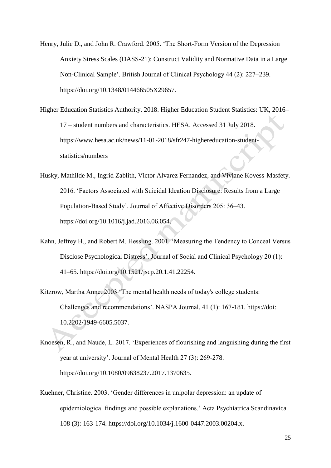Henry, Julie D., and John R. Crawford. 2005. 'The Short-Form Version of the Depression Anxiety Stress Scales (DASS-21): Construct Validity and Normative Data in a Large Non-Clinical Sample'. British Journal of Clinical Psychology 44 (2): 227–239. https://doi.org/10.1348/014466505X29657.

Higher Education Statistics Authority. 2018. Higher Education Student Statistics: UK, 2016– 17 – student numbers and characteristics. HESA. Accessed 31 July 2018. [https://www.hesa.ac.uk/news/11-01-2018/sfr247-highereducation-student](https://www.hesa.ac.uk/news/11-01-2018/sfr247-highereducation-student-statistics/numbers)[statistics/numbers](https://www.hesa.ac.uk/news/11-01-2018/sfr247-highereducation-student-statistics/numbers)

Husky, Mathilde M., Ingrid Zablith, Victor Alvarez Fernandez, and Viviane Kovess-Masfety. 2016. 'Factors Associated with Suicidal Ideation Disclosure: Results from a Large Population-Based Study'. Journal of Affective Disorders 205: 36–43. https://doi.org/10.1016/j.jad.2016.06.054.

- Kahn, Jeffrey H., and Robert M. Hessling. 2001. 'Measuring the Tendency to Conceal Versus Disclose Psychological Distress'. Journal of Social and Clinical Psychology 20 (1): 41–65. https://doi.org/10.1521/jscp.20.1.41.22254.
- Kitzrow, Martha Anne. 2003 'The mental health needs of today's college students: Challenges and recommendations'. NASPA Journal, 41 (1): 167-181. https://do[i:](http://dx.doi.org/10.2202/1949-6605.5037)  [10.2202/1949-6605.5037.](http://dx.doi.org/10.2202/1949-6605.5037)
- Knoesen, R., and Naude, L. 2017. 'Experiences of flourishing and languishing during the first year at university'. Journal of Mental Health 27 (3): 269-278. [https://doi.org/10.1080/09638237.2017.1370635.](https://doi.org/10.1080/09638237.2017.1370635)
- Kuehner, Christine. 2003. 'Gender differences in unipolar depression: an update of epidemiological findings and possible explanations.' Acta Psychiatrica Scandinavica 108 (3): 163-174. [https://doi.org/10.1034/j.1600-0447.2003.00204.x.](https://doi.org/10.1034/j.1600-0447.2003.00204.x)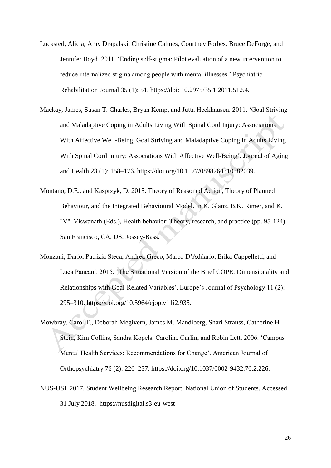- Lucksted, Alicia, Amy Drapalski, Christine Calmes, Courtney Forbes, Bruce DeForge, and Jennifer Boyd. 2011. 'Ending self-stigma: Pilot evaluation of a new intervention to reduce internalized stigma among people with mental illnesses.' Psychiatric Rehabilitation Journal 35 (1): 51. https://doi: 10.2975/35.1.2011.51.54.
- Mackay, James, Susan T. Charles, Bryan Kemp, and Jutta Heckhausen. 2011. 'Goal Striving and Maladaptive Coping in Adults Living With Spinal Cord Injury: Associations With Affective Well-Being, Goal Striving and Maladaptive Coping in Adults Living With Spinal Cord Injury: Associations With Affective Well-Being'. Journal of Aging and Health 23 (1): 158–176. https://doi.org/10.1177/0898264310382039.
- Montano, D.E., and Kasprzyk, D. 2015. Theory of Reasoned Action, Theory of Planned Behaviour, and the Integrated Behavioural Model. In K. Glanz, B.K. Rimer, and K. "V". Viswanath (Eds.), Health behavior: Theory, research, and practice (pp. 95-124). San Francisco, CA, US: Jossey-Bass.
- Monzani, Dario, Patrizia Steca, Andrea Greco, Marco D'Addario, Erika Cappelletti, and Luca Pancani. 2015. 'The Situational Version of the Brief COPE: Dimensionality and Relationships with Goal-Related Variables'. Europe's Journal of Psychology 11 (2): 295–310. https://doi.org/10.5964/ejop.v11i2.935.
- Mowbray, Carol T., Deborah Megivern, James M. Mandiberg, Shari Strauss, Catherine H. Stein, Kim Collins, Sandra Kopels, Caroline Curlin, and Robin Lett. 2006. 'Campus Mental Health Services: Recommendations for Change'. American Journal of Orthopsychiatry 76 (2): 226–237. https://doi.org/10.1037/0002-9432.76.2.226.
- NUS-USI. 2017. Student Wellbeing Research Report. National Union of Students. Accessed 31 July 2018. [https://nusdigital.s3-eu-west-](https://nusdigital.s3-eu-west-1.amazonaws.com/document/documents/33436/59301ace47d6320274509b83e1bea53e/NUSUSI_Student_Wellbeing_Research_Report.pdf)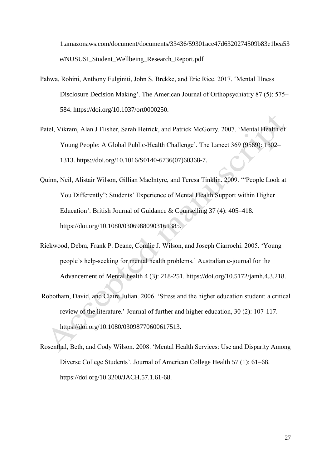[1.amazonaws.com/document/documents/33436/59301ace47d6320274509b83e1bea53](https://nusdigital.s3-eu-west-1.amazonaws.com/document/documents/33436/59301ace47d6320274509b83e1bea53e/NUSUSI_Student_Wellbeing_Research_Report.pdf) [e/NUSUSI\\_Student\\_Wellbeing\\_Research\\_Report.pdf](https://nusdigital.s3-eu-west-1.amazonaws.com/document/documents/33436/59301ace47d6320274509b83e1bea53e/NUSUSI_Student_Wellbeing_Research_Report.pdf)

- Pahwa, Rohini, Anthony Fulginiti, John S. Brekke, and Eric Rice. 2017. 'Mental Illness Disclosure Decision Making'. The American Journal of Orthopsychiatry 87 (5): 575– 584. https://doi.org/10.1037/ort0000250.
- Patel, Vikram, Alan J Flisher, Sarah Hetrick, and Patrick McGorry. 2007. 'Mental Health of Young People: A Global Public-Health Challenge'. The Lancet 369 (9569): 1302– 1313. https://doi.org/10.1016/S0140-6736(07)60368-7.
- Quinn, Neil, Alistair Wilson, Gillian MacIntyre, and Teresa Tinklin. 2009. '"People Look at You Differently": Students' Experience of Mental Health Support within Higher Education'. British Journal of Guidance & Counselling 37 (4): 405–418. [https://doi.org/10.1080/03069880903161385.](https://doi.org/10.1080/03069880903161385)
- Rickwood, Debra, Frank P. Deane, Coralie J. Wilson, and Joseph Ciarrochi. 2005. 'Young people's help-seeking for mental health problems.' Australian e-journal for the Advancement of Mental health 4 (3): 218-251. https://doi.org/10.5172/jamh.4.3.218.
- Robotham, David, and Claire Julian. 2006. 'Stress and the higher education student: a critical review of the literature.' Journal of further and higher education, 30 (2): 107-117. https://doi.org/10.1080/03098770600617513.
- Rosenthal, Beth, and Cody Wilson. 2008. 'Mental Health Services: Use and Disparity Among Diverse College Students'. Journal of American College Health 57 (1): 61–68. [https://doi.org/10.3200/JACH.57.1.61-68.](https://doi.org/10.3200/JACH.57.1.61-68)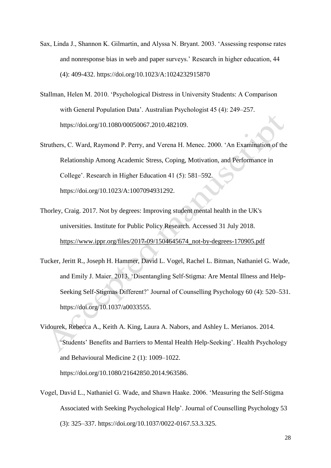- Sax, Linda J., Shannon K. Gilmartin, and Alyssa N. Bryant. 2003. 'Assessing response rates and nonresponse bias in web and paper surveys.' Research in higher education, 44 (4): 409-432. https://doi.org/10.1023/A:1024232915870
- Stallman, Helen M. 2010. 'Psychological Distress in University Students: A Comparison with General Population Data'. Australian Psychologist 45 (4): 249–257. https://doi.org/10.1080/00050067.2010.482109.
- Struthers, C. Ward, Raymond P. Perry, and Verena H. Menec. 2000. 'An Examination of the Relationship Among Academic Stress, Coping, Motivation, and Performance in College'. Research in Higher Education 41 (5): 581–592. https://doi.org/10.1023/A:1007094931292.
- Thorley, Craig. 2017. Not by degrees: Improving student mental health in the UK's universities. Institute for Public Policy Research. Accessed 31 July 2018. [https://www.ippr.org/files/2017-09/1504645674\\_not-by-degrees-170905.pdf](https://www.ippr.org/files/2017-09/1504645674_not-by-degrees-170905.pdf)
- Tucker, Jeritt R., Joseph H. Hammer, David L. Vogel, Rachel L. Bitman, Nathaniel G. Wade, and Emily J. Maier. 2013. 'Disentangling Self-Stigma: Are Mental Illness and Help-Seeking Self-Stigmas Different?' Journal of Counselling Psychology 60 (4): 520–531. https://doi.org/10.1037/a0033555.
- Vidourek, Rebecca A., Keith A. King, Laura A. Nabors, and Ashley L. Merianos. 2014. 'Students' Benefits and Barriers to Mental Health Help-Seeking'. Health Psychology and Behavioural Medicine 2 (1): 1009–1022. https://doi.org/10.1080/21642850.2014.963586.
- Vogel, David L., Nathaniel G. Wade, and Shawn Haake. 2006. 'Measuring the Self-Stigma Associated with Seeking Psychological Help'. Journal of Counselling Psychology 53 (3): 325–337. https://doi.org/10.1037/0022-0167.53.3.325.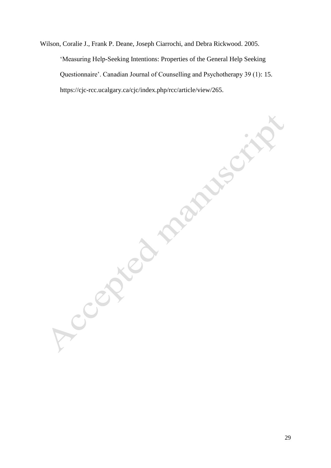Wilson, Coralie J., Frank P. Deane, Joseph Ciarrochi, and Debra Rickwood. 2005. 'Measuring Help-Seeking Intentions: Properties of the General Help Seeking Questionnaire'. Canadian Journal of Counselling and Psychotherapy 39 (1): 15.

https://cjc-rcc.ucalgary.ca/cjc/index.php/rcc/article/view/265.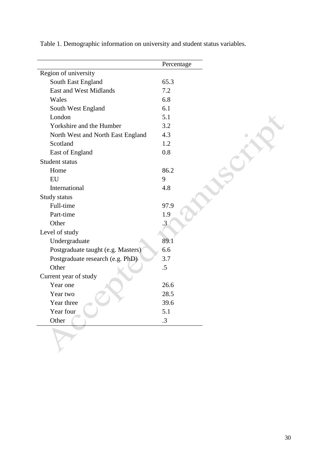|                                    | Percentage |
|------------------------------------|------------|
| Region of university               |            |
| South East England                 | 65.3       |
| <b>East and West Midlands</b>      | 7.2        |
| Wales                              | 6.8        |
| South West England                 | 6.1        |
| London                             | 5.1        |
| Yorkshire and the Humber           | 3.2        |
| North West and North East England  | 4.3        |
| Scotland                           | 1.2        |
| East of England                    | 0.8        |
| Student status                     |            |
| Home                               | 86.2       |
| EU                                 | 9          |
| International                      | 4.8        |
| Study status                       |            |
| Full-time                          | 97.9       |
| Part-time                          | 1.9        |
| Other                              | $\cdot$ 3  |
| Level of study                     |            |
| Undergraduate                      | 89.1       |
| Postgraduate taught (e.g. Masters) | 6.6        |
| Postgraduate research (e.g. PhD)   | 3.7        |
| Other                              | .5         |
| Current year of study              |            |
| Year one                           | 26.6       |
| Year two                           | 28.5       |
| Year three                         | 39.6       |
| Year four                          | $5.1\,$    |
| Other                              | .3         |

Table 1. Demographic information on university and student status variables.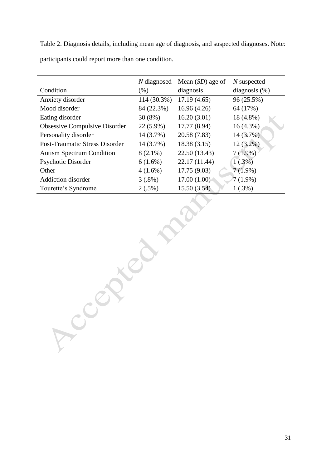Table 2. Diagnosis details, including mean age of diagnosis, and suspected diagnoses. Note: participants could report more than one condition.

|                                       | N diagnosed | Mean $(SD)$ age of | $N$ suspected    |
|---------------------------------------|-------------|--------------------|------------------|
| Condition                             | $(\% )$     | diagnosis          | diagnosis $(\%)$ |
| Anxiety disorder                      | 114 (30.3%) | 17.19(4.65)        | 96 (25.5%)       |
| Mood disorder                         | 84 (22.3%)  | 16.96(4.26)        | 64 (17%)         |
| Eating disorder                       | $30(8\%)$   | 16.20(3.01)        | 18 (4.8%)        |
| <b>Obsessive Compulsive Disorder</b>  | $22(5.9\%)$ | 17.77 (8.94)       | $16(4.3\%)$      |
| Personality disorder                  | 14 (3.7%)   | 20.58 (7.83)       | 14(3.7%)         |
| <b>Post-Traumatic Stress Disorder</b> | 14 (3.7%)   | 18.38(3.15)        | $12(3.2\%)$      |
| <b>Autism Spectrum Condition</b>      | $8(2.1\%)$  | 22.50 (13.43)      | $7(1.9\%)$       |
| Psychotic Disorder                    | $6(1.6\%)$  | 22.17 (11.44)      | 1(.3%)           |
| Other                                 | $4(1.6\%)$  | 17.75 (9.03)       | $7(1.9\%)$       |
| <b>Addiction disorder</b>             | $3(.8\%)$   | 17.00(1.00)        | $7(1.9\%)$       |
| Tourette's Syndrome                   | $2(.5\%)$   | 15.50(3.54)        | $1(.3\%)$        |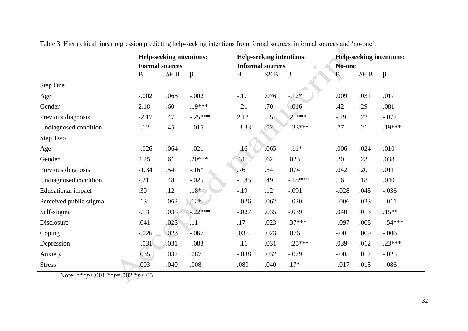|                           | Help-seeking intentions: |      | <b>Help-seeking intentions:</b>                     |          | Help-seeking intentions: |           |         |                 |           |
|---------------------------|--------------------------|------|-----------------------------------------------------|----------|--------------------------|-----------|---------|-----------------|-----------|
|                           | <b>Formal sources</b>    |      | <b>Informal sources</b><br>$\overline{\phantom{0}}$ |          | No-one                   |           |         |                 |           |
|                           | $\bf{B}$                 | SEB  | $\beta$                                             | $\bf{B}$ | SEB                      | $\beta$   | B       | SE <sub>B</sub> | $\beta$   |
| Step One                  |                          |      |                                                     |          |                          |           |         |                 |           |
| Age                       | $-.002$                  | .065 | $-.002$                                             | $-.17$   | .076                     | $-.12*$   | .009    | .031            | .017      |
| Gender                    | 2.18                     | .60  | .19***                                              | $-.21$   | .70                      | $-0.016$  | .42     | .29             | .081      |
| Previous diagnosis        | $-2.17$                  | .47  | $-.25***$                                           | 2.12     | .55                      | $.21***$  | $-.29$  | .22             | $-.072$   |
| Undiagnosed condition     | $-.12$                   | .45  | $-0.015$                                            | $-3.33$  | .52                      | $-.33***$ | .77     | .21             | $.19***$  |
| Step Two                  |                          |      |                                                     |          |                          |           |         |                 |           |
| Age                       | $-0.026$                 | .064 | $-.021$                                             | $-16$    | .065                     | $-.11*$   | .006    | .024            | .010      |
| Gender                    | 2.25                     | .61  | $.20***$                                            | .31      | .62                      | .023      | .20     | .23             | .038      |
| Previous diagnosis        | $-1.34$                  | .54  | $-16*$                                              | .76      | .54                      | .074      | .042    | .20             | .011      |
| Undiagnosed condition     | $-.21$                   | .48  | $-.025$                                             | $-1.85$  | .49                      | $-.18***$ | .16     | .18             | .040      |
| <b>Educational</b> impact | .30                      | .12  | $.18*$                                              | $-0.19$  | .12                      | $-.091$   | $-.028$ | .045            | $-.036$   |
| Perceived public stigma   | .13                      | .062 | $.12*$                                              | $-.026$  | .062                     | $-.020$   | $-.006$ | .023            | $-.011$   |
| Self-stigma               | $-.13$                   | .035 | $-.22***$                                           | $-.027$  | .035                     | $-.039$   | .040    | .013            | $.15***$  |
| Disclosure                | .041                     | .023 | $\langle 11 \rangle$                                | .17      | .023                     | $.37***$  | $-.097$ | .008            | $-.54***$ |
| Coping                    | $-.026$                  | .023 | $-.067$                                             | .036     | .023                     | .076      | $-.001$ | .009            | $-.006$   |
| Depression                | $-.031$                  | .031 | $-.083$                                             | $-.11$   | .031                     | $-.25***$ | .039    | .012            | $.23***$  |
| Anxiety                   | .035                     | .032 | .087                                                | $-.038$  | .032                     | $-.079$   | $-.005$ | .012            | $-.025$   |
| <b>Stress</b>             | .003                     | .040 | .008                                                | .089     | .040                     | $.17*$    | $-.017$ | .015            | $-.086$   |

Table 3. Hierarchical linear regression predicting help-seeking intentions from formal sources, informal sources and 'no-one'.

Note: \*\*\**p*<.001 \*\**p*=.002 \**p*<.05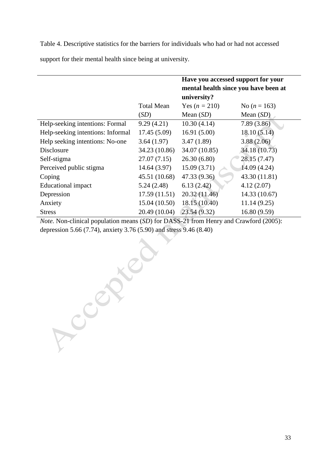Table 4. Descriptive statistics for the barriers for individuals who had or had not accessed

support for their mental health since being at university.

|                                   |                   | Have you accessed support for your<br>mental health since you have been at<br>university? |                |  |
|-----------------------------------|-------------------|-------------------------------------------------------------------------------------------|----------------|--|
|                                   | <b>Total Mean</b> | Yes $(n = 210)$                                                                           | No $(n = 163)$ |  |
|                                   | (SD)              | Mean $(SD)$                                                                               | Mean $(SD)$    |  |
| Help-seeking intentions: Formal   | 9.29(4.21)        | 10.30(4.14)                                                                               | 7.89(3.86)     |  |
| Help-seeking intentions: Informal | 17.45(5.09)       | 16.91(5.00)                                                                               | 18.10(5.14)    |  |
| Help seeking intentions: No-one   | 3.64(1.97)        | 3.47(1.89)                                                                                | 3.88(2.06)     |  |
| Disclosure                        | 34.23 (10.86)     | 34.07 (10.85)                                                                             | 34.18 (10.73)  |  |
| Self-stigma                       | 27.07(7.15)       | 26.30(6.80)                                                                               | 28.15 (7.47)   |  |
| Perceived public stigma           | 14.64(3.97)       | 15.09(3.71)                                                                               | 14.09 (4.24)   |  |
| Coping                            | 45.51 (10.68)     | 47.33 (9.36)                                                                              | 43.30 (11.81)  |  |
| <b>Educational impact</b>         | 5.24(2.48)        | 6.13(2.42)                                                                                | 4.12(2.07)     |  |
| Depression                        | 17.59(11.51)      | 20.32(11.46)                                                                              | 14.33 (10.67)  |  |
| Anxiety                           | 15.04 (10.50)     | 18.15 (10.40)                                                                             | 11.14(9.25)    |  |
| <b>Stress</b>                     | 20.49 (10.04)     | 23.54(9.32)                                                                               | 16.80 (9.59)   |  |

*Note.* Non-clinical population means (*SD*) for DASS-21 from Henry and Crawford (2005): depression 5.66 (7.74), anxiety 3.76 (5.90) and stress 9.46 (8.40)